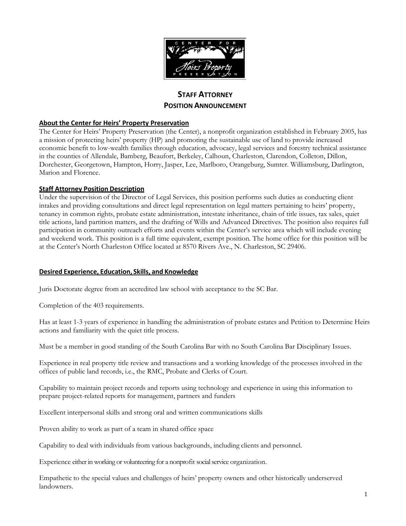

# **STAFF ATTORNEY POSITION ANNOUNCEMENT**

## **About the Center for Heirs' Property Preservation**

The Center for Heirs' Property Preservation (the Center), a nonprofit organization established in February 2005, has a mission of protecting heirs' property (HP) and promoting the sustainable use of land to provide increased economic benefit to low-wealth families through education, advocacy, legal services and forestry technical assistance in the counties of Allendale, Bamberg, Beaufort, Berkeley, Calhoun, Charleston, Clarendon, Colleton, Dillon, Dorchester, Georgetown, Hampton, Horry, Jasper, Lee, Marlboro, Orangeburg, Sumter. Williamsburg, Darlington, Marion and Florence.

## **Staff Attorney Position Description**

Under the supervision of the Director of Legal Services, this position performs such duties as conducting client intakes and providing consultations and direct legal representation on legal matters pertaining to heirs' property, tenancy in common rights, probate estate administration, intestate inheritance, chain of title issues, tax sales, quiet title actions, land partition matters, and the drafting of Wills and Advanced Directives. The position also requires full participation in community outreach efforts and events within the Center's service area which will include evening and weekend work. This position is a full time equivalent, exempt position. The home office for this position will be at the Center's North Charleston Office located at 8570 Rivers Ave., N. Charleston, SC 29406.

#### **Desired Experience, Education, Skills, and Knowledge**

Juris Doctorate degree from an accredited law school with acceptance to the SC Bar.

Completion of the 403 requirements.

Has at least 1-3 years of experience in handling the administration of probate estates and Petition to Determine Heirs actions and familiarity with the quiet title process.

Must be a member in good standing of the South Carolina Bar with no South Carolina Bar Disciplinary Issues.

Experience in real property title review and transactions and a working knowledge of the processes involved in the offices of public land records, i.e., the RMC, Probate and Clerks of Court.

Capability to maintain project records and reports using technology and experience in using this information to prepare project-related reports for management, partners and funders

Excellent interpersonal skills and strong oral and written communications skills

Proven ability to work as part of a team in shared office space

Capability to deal with individuals from various backgrounds, including clients and personnel.

Experience either in working or volunteering for a nonprofit social service organization.

Empathetic to the special values and challenges of heirs' property owners and other historically underserved landowners.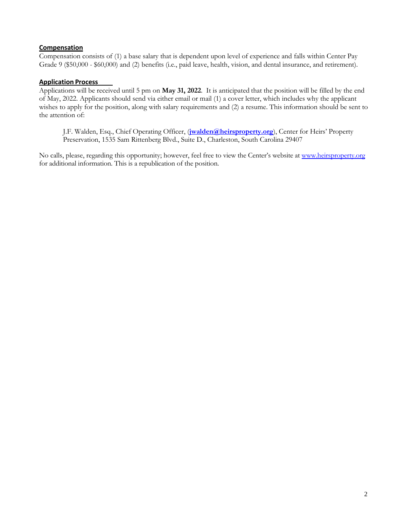#### **Compensation**

Compensation consists of (1) a base salary that is dependent upon level of experience and falls within Center Pay Grade 9 (\$50,000 - \$60,000) and (2) benefits (i.e., paid leave, health, vision, and dental insurance, and retirement).

#### **Application Process**

Applications will be received until 5 pm on **May 31, 2022**. It is anticipated that the position will be filled by the end of May, 2022. Applicants should send via either email or mail (1) a cover letter, which includes why the applicant wishes to apply for the position, along with salary requirements and (2) a resume. This information should be sent to the attention of:

J.F. Walden, Esq., Chief Operating Officer, (**[jwalden@heirsproperty.org](mailto:jwalden@heirsproperty.org)**), Center for Heirs' Property Preservation, 1535 Sam Rittenberg Blvd., Suite D., Charleston, South Carolina 29407

No calls, please, regarding this opportunity; however, feel free to view the Center's website at [www.heirsproperty.org](http://www.heirsproperty.org/) for additional information. This is a republication of the position.